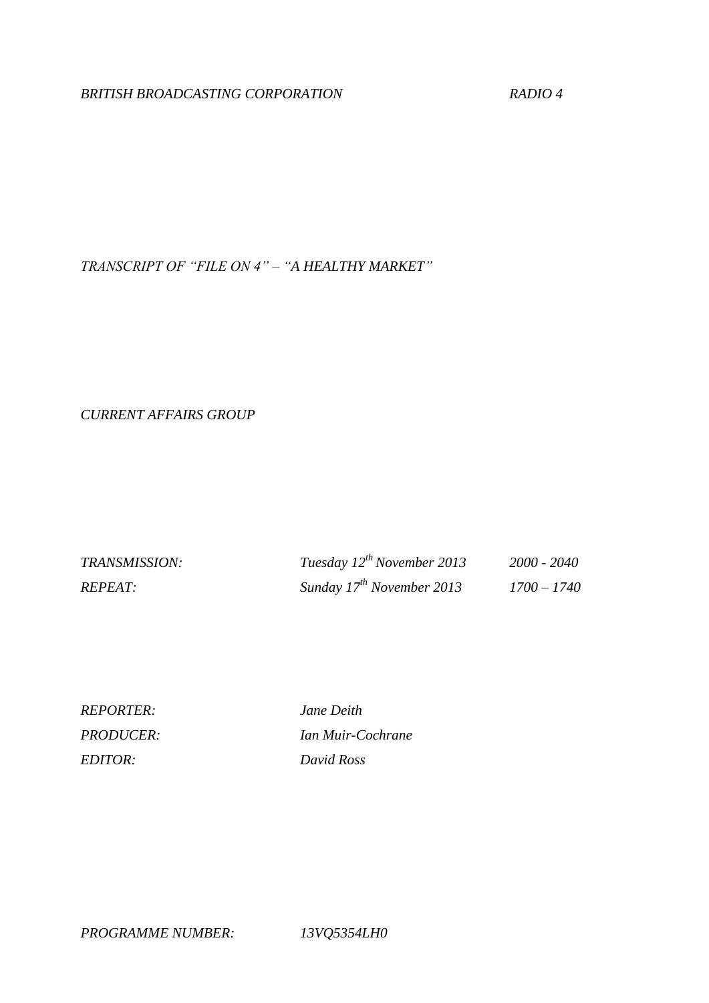# *BRITISH BROADCASTING CORPORATION RADIO 4*

*TRANSCRIPT OF "FILE ON 4" – "A HEALTHY MARKET"*

*CURRENT AFFAIRS GROUP*

| TRANSMISSION:  | Tuesday $12^{th}$ November 2013 | 2000 - 2040   |
|----------------|---------------------------------|---------------|
| <i>REPEAT:</i> | Sunday $17^{th}$ November 2013  | $1700 - 1740$ |

*REPORTER: Jane Deith EDITOR: David Ross*

*PRODUCER: Ian Muir-Cochrane*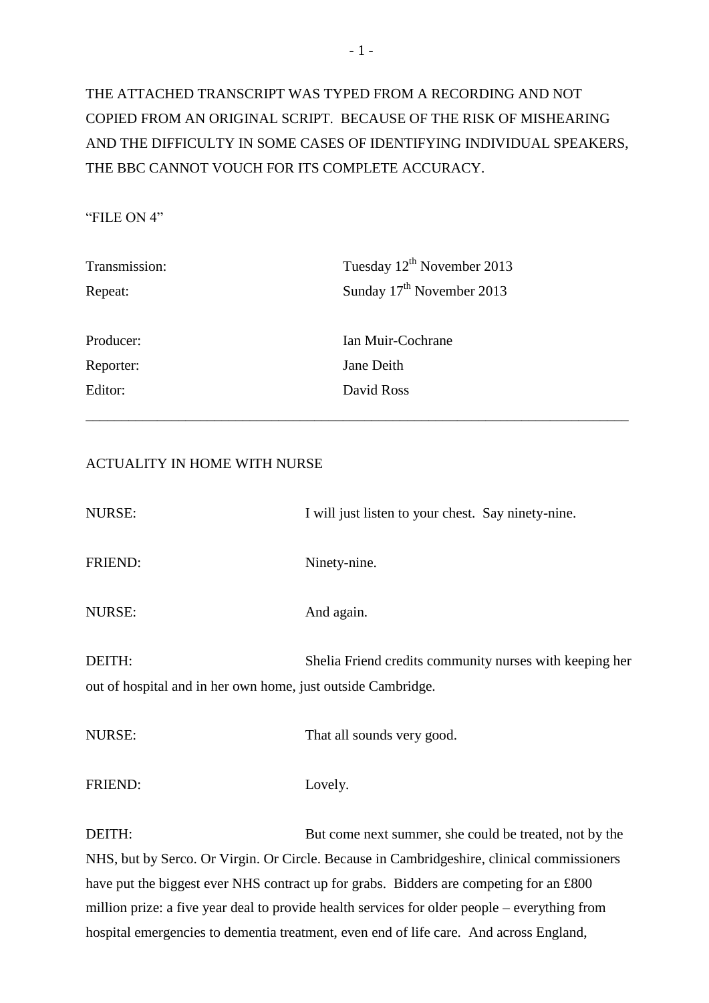# THE ATTACHED TRANSCRIPT WAS TYPED FROM A RECORDING AND NOT COPIED FROM AN ORIGINAL SCRIPT. BECAUSE OF THE RISK OF MISHEARING AND THE DIFFICULTY IN SOME CASES OF IDENTIFYING INDIVIDUAL SPEAKERS, THE BBC CANNOT VOUCH FOR ITS COMPLETE ACCURACY.

## "FILE ON 4"

| Transmission: | Tuesday 12 <sup>th</sup> November 2013 |  |  |
|---------------|----------------------------------------|--|--|
| Repeat:       | Sunday 17 <sup>th</sup> November 2013  |  |  |
|               |                                        |  |  |
| Producer:     | Ian Muir-Cochrane                      |  |  |
| Reporter:     | Jane Deith                             |  |  |
| Editor:       | David Ross                             |  |  |
|               |                                        |  |  |

# ACTUALITY IN HOME WITH NURSE

| I will just listen to your chest. Say ninety-nine.                                                                      |
|-------------------------------------------------------------------------------------------------------------------------|
| Ninety-nine.                                                                                                            |
| And again.                                                                                                              |
| Shelia Friend credits community nurses with keeping her<br>out of hospital and in her own home, just outside Cambridge. |
| That all sounds very good.                                                                                              |
| Lovely.                                                                                                                 |
|                                                                                                                         |

DEITH: But come next summer, she could be treated, not by the NHS, but by Serco. Or Virgin. Or Circle. Because in Cambridgeshire, clinical commissioners have put the biggest ever NHS contract up for grabs. Bidders are competing for an £800 million prize: a five year deal to provide health services for older people – everything from hospital emergencies to dementia treatment, even end of life care. And across England,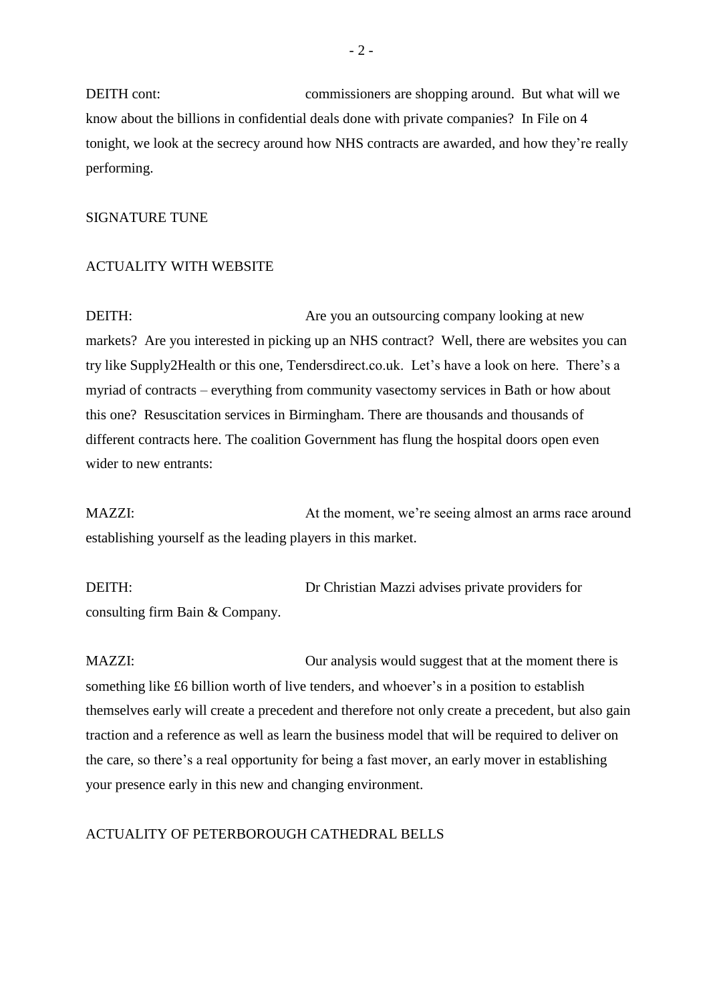DEITH cont: commissioners are shopping around. But what will we know about the billions in confidential deals done with private companies? In File on 4 tonight, we look at the secrecy around how NHS contracts are awarded, and how they're really performing.

#### SIGNATURE TUNE

#### ACTUALITY WITH WEBSITE

DEITH: Are you an outsourcing company looking at new markets? Are you interested in picking up an NHS contract? Well, there are websites you can try like Supply2Health or this one, Tendersdirect.co.uk. Let's have a look on here. There's a myriad of contracts – everything from community vasectomy services in Bath or how about this one? Resuscitation services in Birmingham. There are thousands and thousands of different contracts here. The coalition Government has flung the hospital doors open even wider to new entrants:

MAZZI: At the moment, we're seeing almost an arms race around establishing yourself as the leading players in this market.

DEITH: Dr Christian Mazzi advises private providers for consulting firm Bain & Company.

MAZZI: Our analysis would suggest that at the moment there is something like £6 billion worth of live tenders, and whoever's in a position to establish themselves early will create a precedent and therefore not only create a precedent, but also gain traction and a reference as well as learn the business model that will be required to deliver on the care, so there's a real opportunity for being a fast mover, an early mover in establishing your presence early in this new and changing environment.

#### ACTUALITY OF PETERBOROUGH CATHEDRAL BELLS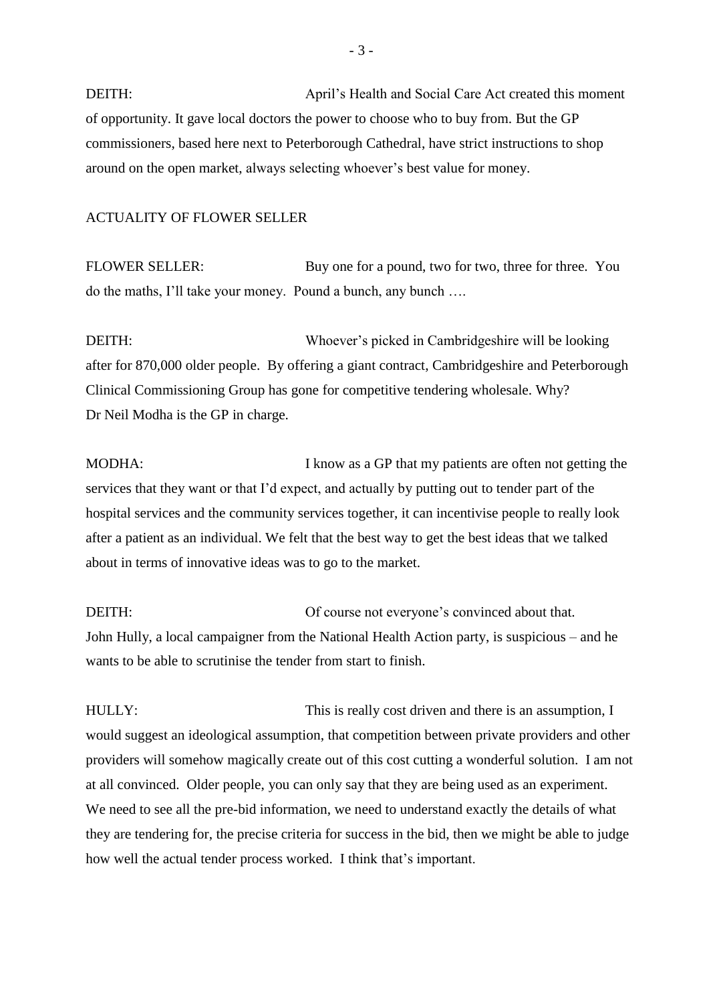DEITH: April's Health and Social Care Act created this moment of opportunity. It gave local doctors the power to choose who to buy from. But the GP commissioners, based here next to Peterborough Cathedral, have strict instructions to shop around on the open market, always selecting whoever's best value for money.

#### ACTUALITY OF FLOWER SELLER

FLOWER SELLER: Buy one for a pound, two for two, three for three. You do the maths, I'll take your money. Pound a bunch, any bunch ….

DEITH: Whoever's picked in Cambridgeshire will be looking after for 870,000 older people. By offering a giant contract, Cambridgeshire and Peterborough Clinical Commissioning Group has gone for competitive tendering wholesale. Why? Dr Neil Modha is the GP in charge.

MODHA: I know as a GP that my patients are often not getting the services that they want or that I'd expect, and actually by putting out to tender part of the hospital services and the community services together, it can incentivise people to really look after a patient as an individual. We felt that the best way to get the best ideas that we talked about in terms of innovative ideas was to go to the market.

DEITH: Of course not everyone's convinced about that. John Hully, a local campaigner from the National Health Action party, is suspicious – and he wants to be able to scrutinise the tender from start to finish.

HULLY: This is really cost driven and there is an assumption, I would suggest an ideological assumption, that competition between private providers and other providers will somehow magically create out of this cost cutting a wonderful solution. I am not at all convinced. Older people, you can only say that they are being used as an experiment. We need to see all the pre-bid information, we need to understand exactly the details of what they are tendering for, the precise criteria for success in the bid, then we might be able to judge how well the actual tender process worked. I think that's important.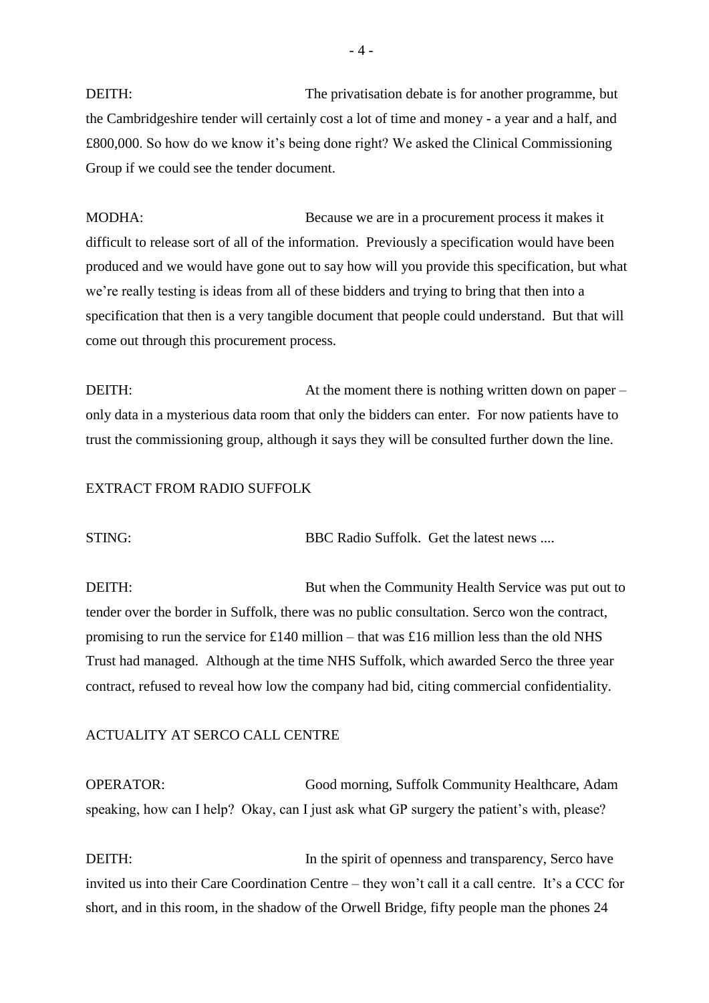DEITH: The privatisation debate is for another programme, but the Cambridgeshire tender will certainly cost a lot of time and money - a year and a half, and £800,000. So how do we know it's being done right? We asked the Clinical Commissioning Group if we could see the tender document.

MODHA: Because we are in a procurement process it makes it difficult to release sort of all of the information. Previously a specification would have been produced and we would have gone out to say how will you provide this specification, but what we're really testing is ideas from all of these bidders and trying to bring that then into a specification that then is a very tangible document that people could understand. But that will come out through this procurement process.

DEITH: At the moment there is nothing written down on paper – only data in a mysterious data room that only the bidders can enter. For now patients have to trust the commissioning group, although it says they will be consulted further down the line.

#### EXTRACT FROM RADIO SUFFOLK

STING: BBC Radio Suffolk. Get the latest news ....

DEITH: But when the Community Health Service was put out to tender over the border in Suffolk, there was no public consultation. Serco won the contract, promising to run the service for £140 million – that was £16 million less than the old NHS Trust had managed. Although at the time NHS Suffolk, which awarded Serco the three year contract, refused to reveal how low the company had bid, citing commercial confidentiality.

#### ACTUALITY AT SERCO CALL CENTRE

OPERATOR: Good morning, Suffolk Community Healthcare, Adam speaking, how can I help? Okay, can I just ask what GP surgery the patient's with, please?

DEITH: In the spirit of openness and transparency, Serco have invited us into their Care Coordination Centre – they won't call it a call centre. It's a CCC for short, and in this room, in the shadow of the Orwell Bridge, fifty people man the phones 24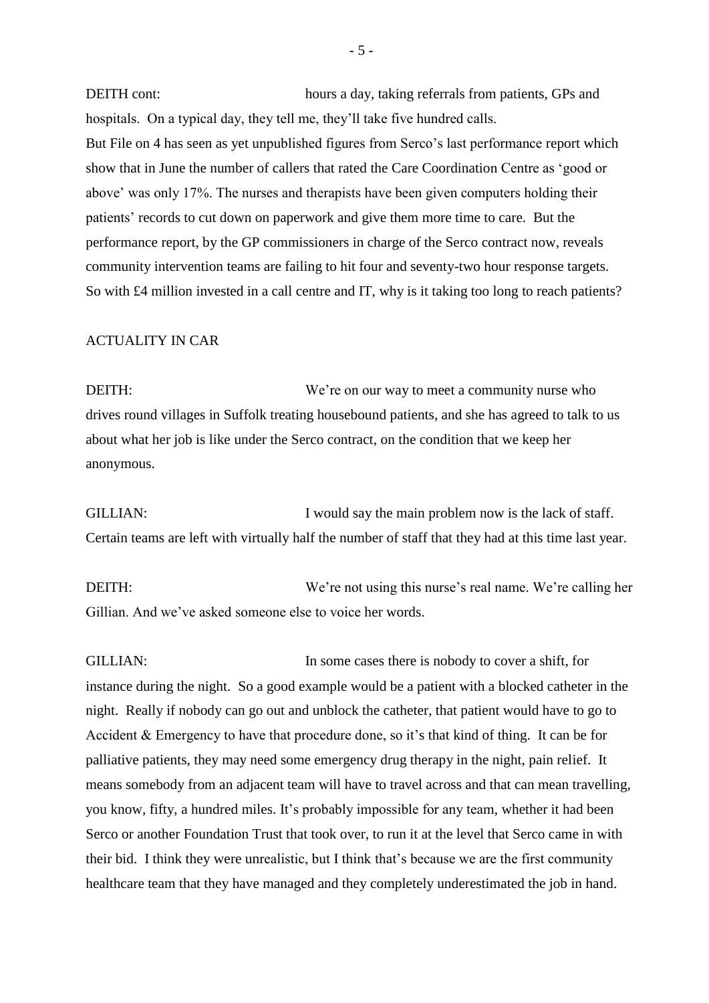DEITH cont: hours a day, taking referrals from patients, GPs and hospitals. On a typical day, they tell me, they'll take five hundred calls. But File on 4 has seen as yet unpublished figures from Serco's last performance report which show that in June the number of callers that rated the Care Coordination Centre as 'good or above' was only 17%. The nurses and therapists have been given computers holding their patients' records to cut down on paperwork and give them more time to care. But the performance report, by the GP commissioners in charge of the Serco contract now, reveals community intervention teams are failing to hit four and seventy-two hour response targets. So with £4 million invested in a call centre and IT, why is it taking too long to reach patients?

#### ACTUALITY IN CAR

DEITH: We're on our way to meet a community nurse who drives round villages in Suffolk treating housebound patients, and she has agreed to talk to us about what her job is like under the Serco contract, on the condition that we keep her anonymous.

GILLIAN: I would say the main problem now is the lack of staff. Certain teams are left with virtually half the number of staff that they had at this time last year.

DEITH: We're not using this nurse's real name. We're calling her Gillian. And we've asked someone else to voice her words.

GILLIAN: In some cases there is nobody to cover a shift, for instance during the night. So a good example would be a patient with a blocked catheter in the night. Really if nobody can go out and unblock the catheter, that patient would have to go to Accident & Emergency to have that procedure done, so it's that kind of thing. It can be for palliative patients, they may need some emergency drug therapy in the night, pain relief. It means somebody from an adjacent team will have to travel across and that can mean travelling, you know, fifty, a hundred miles. It's probably impossible for any team, whether it had been Serco or another Foundation Trust that took over, to run it at the level that Serco came in with their bid. I think they were unrealistic, but I think that's because we are the first community healthcare team that they have managed and they completely underestimated the job in hand.

- 5 -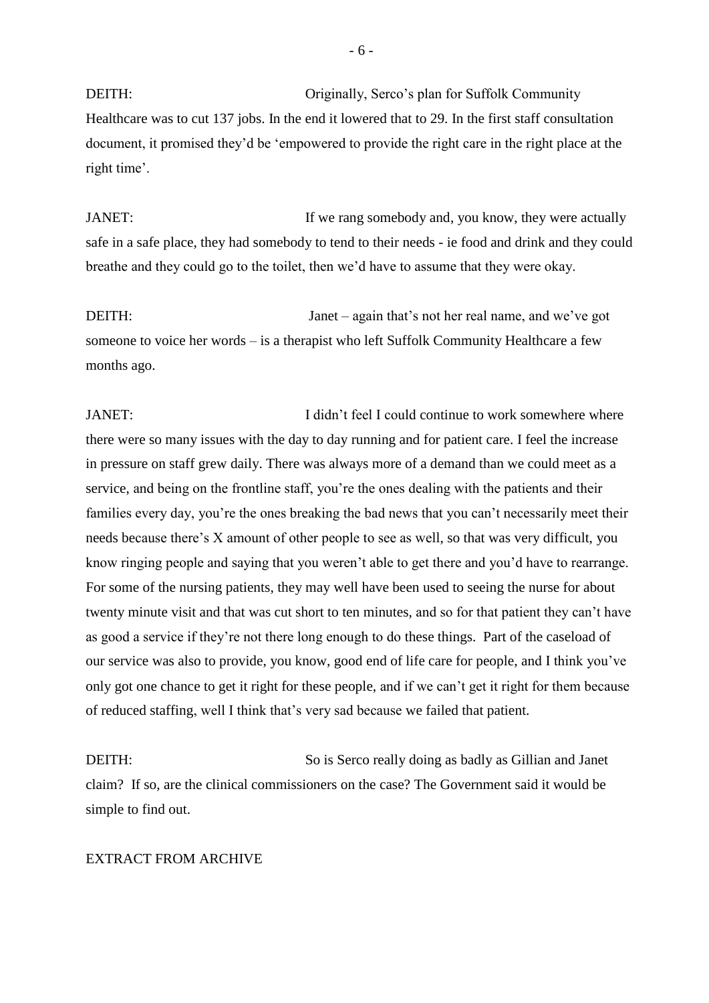DEITH: Originally, Serco's plan for Suffolk Community Healthcare was to cut 137 jobs. In the end it lowered that to 29. In the first staff consultation document, it promised they'd be 'empowered to provide the right care in the right place at the right time'.

JANET: If we rang somebody and, you know, they were actually safe in a safe place, they had somebody to tend to their needs - ie food and drink and they could breathe and they could go to the toilet, then we'd have to assume that they were okay.

DEITH: Janet – again that's not her real name, and we've got someone to voice her words – is a therapist who left Suffolk Community Healthcare a few months ago.

JANET: I didn't feel I could continue to work somewhere where there were so many issues with the day to day running and for patient care. I feel the increase in pressure on staff grew daily. There was always more of a demand than we could meet as a service, and being on the frontline staff, you're the ones dealing with the patients and their families every day, you're the ones breaking the bad news that you can't necessarily meet their needs because there's X amount of other people to see as well, so that was very difficult, you know ringing people and saying that you weren't able to get there and you'd have to rearrange. For some of the nursing patients, they may well have been used to seeing the nurse for about twenty minute visit and that was cut short to ten minutes, and so for that patient they can't have as good a service if they're not there long enough to do these things. Part of the caseload of our service was also to provide, you know, good end of life care for people, and I think you've only got one chance to get it right for these people, and if we can't get it right for them because of reduced staffing, well I think that's very sad because we failed that patient.

DEITH: So is Serco really doing as badly as Gillian and Janet claim? If so, are the clinical commissioners on the case? The Government said it would be simple to find out.

#### EXTRACT FROM ARCHIVE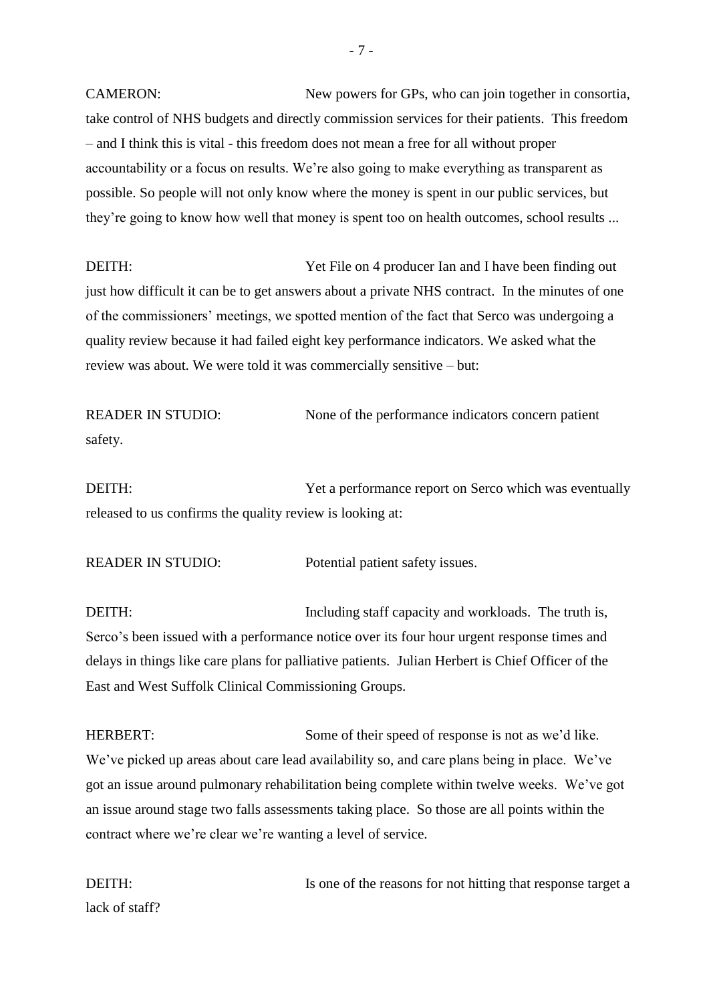CAMERON: New powers for GPs, who can join together in consortia, take control of NHS budgets and directly commission services for their patients. This freedom – and I think this is vital - this freedom does not mean a free for all without proper accountability or a focus on results. We're also going to make everything as transparent as possible. So people will not only know where the money is spent in our public services, but they're going to know how well that money is spent too on health outcomes, school results ...

DEITH: Yet File on 4 producer Ian and I have been finding out just how difficult it can be to get answers about a private NHS contract. In the minutes of one of the commissioners' meetings, we spotted mention of the fact that Serco was undergoing a quality review because it had failed eight key performance indicators. We asked what the review was about. We were told it was commercially sensitive – but:

READER IN STUDIO: None of the performance indicators concern patient safety.

DEITH: Yet a performance report on Serco which was eventually released to us confirms the quality review is looking at:

READER IN STUDIO: Potential patient safety issues.

DEITH: Including staff capacity and workloads. The truth is, Serco's been issued with a performance notice over its four hour urgent response times and delays in things like care plans for palliative patients. Julian Herbert is Chief Officer of the East and West Suffolk Clinical Commissioning Groups.

HERBERT: Some of their speed of response is not as we'd like. We've picked up areas about care lead availability so, and care plans being in place. We've got an issue around pulmonary rehabilitation being complete within twelve weeks. We've got an issue around stage two falls assessments taking place. So those are all points within the contract where we're clear we're wanting a level of service.

DEITH: Is one of the reasons for not hitting that response target a lack of staff?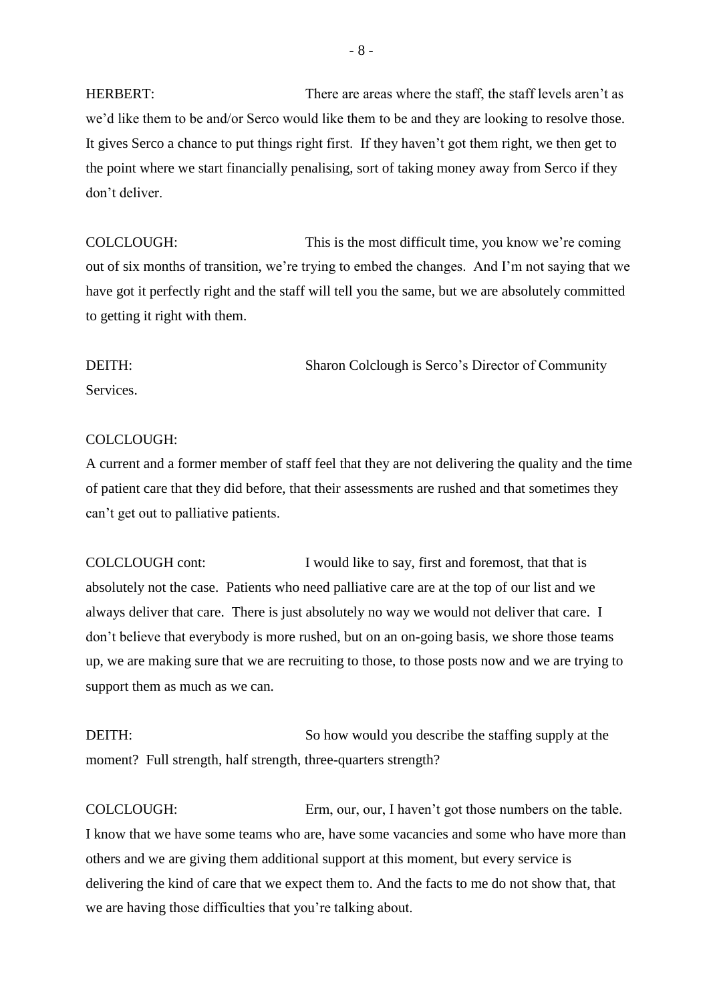HERBERT: There are areas where the staff, the staff levels aren't as we'd like them to be and/or Serco would like them to be and they are looking to resolve those. It gives Serco a chance to put things right first. If they haven't got them right, we then get to the point where we start financially penalising, sort of taking money away from Serco if they don't deliver.

COLCLOUGH: This is the most difficult time, you know we're coming out of six months of transition, we're trying to embed the changes. And I'm not saying that we have got it perfectly right and the staff will tell you the same, but we are absolutely committed to getting it right with them.

DEITH: Sharon Colclough is Serco's Director of Community

**Services** 

#### COLCLOUGH:

A current and a former member of staff feel that they are not delivering the quality and the time of patient care that they did before, that their assessments are rushed and that sometimes they can't get out to palliative patients.

COLCLOUGH cont: I would like to say, first and foremost, that that is absolutely not the case. Patients who need palliative care are at the top of our list and we always deliver that care. There is just absolutely no way we would not deliver that care. I don't believe that everybody is more rushed, but on an on-going basis, we shore those teams up, we are making sure that we are recruiting to those, to those posts now and we are trying to support them as much as we can.

DEITH: So how would you describe the staffing supply at the moment? Full strength, half strength, three-quarters strength?

COLCLOUGH: Erm, our, our, I haven't got those numbers on the table. I know that we have some teams who are, have some vacancies and some who have more than others and we are giving them additional support at this moment, but every service is delivering the kind of care that we expect them to. And the facts to me do not show that, that we are having those difficulties that you're talking about.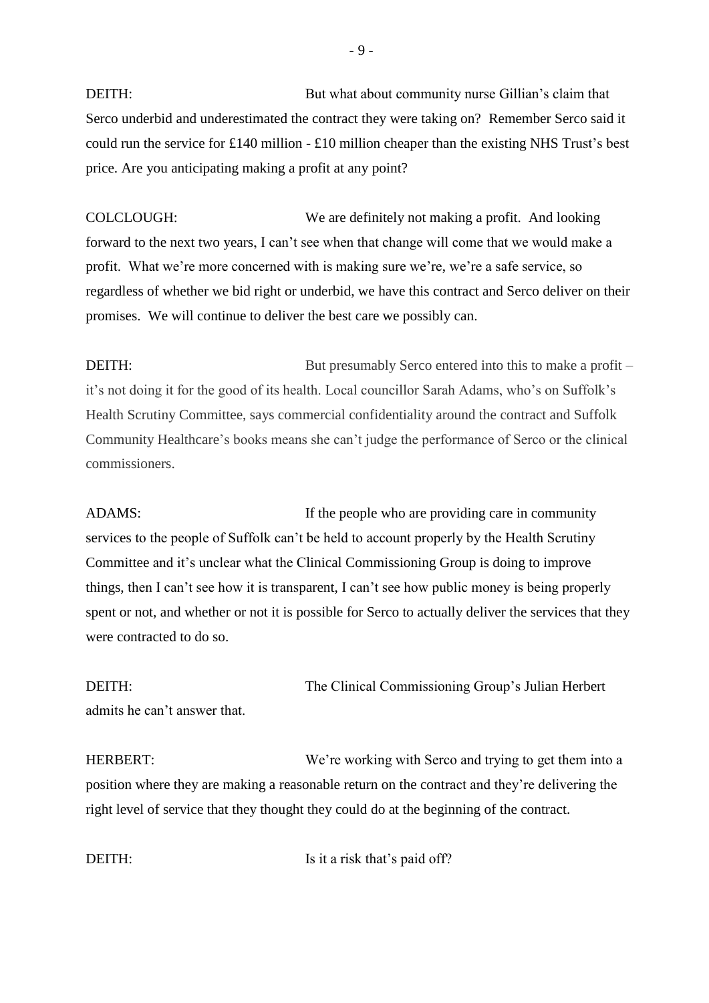DEITH: But what about community nurse Gillian's claim that Serco underbid and underestimated the contract they were taking on? Remember Serco said it could run the service for £140 million - £10 million cheaper than the existing NHS Trust's best price. Are you anticipating making a profit at any point?

COLCLOUGH: We are definitely not making a profit. And looking forward to the next two years, I can't see when that change will come that we would make a profit. What we're more concerned with is making sure we're, we're a safe service, so regardless of whether we bid right or underbid, we have this contract and Serco deliver on their promises. We will continue to deliver the best care we possibly can.

DEITH: But presumably Serco entered into this to make a profit – it's not doing it for the good of its health. Local councillor Sarah Adams, who's on Suffolk's Health Scrutiny Committee, says commercial confidentiality around the contract and Suffolk Community Healthcare's books means she can't judge the performance of Serco or the clinical commissioners.

ADAMS: If the people who are providing care in community services to the people of Suffolk can't be held to account properly by the Health Scrutiny Committee and it's unclear what the Clinical Commissioning Group is doing to improve things, then I can't see how it is transparent, I can't see how public money is being properly spent or not, and whether or not it is possible for Serco to actually deliver the services that they were contracted to do so.

DEITH: The Clinical Commissioning Group's Julian Herbert admits he can't answer that.

HERBERT: We're working with Serco and trying to get them into a position where they are making a reasonable return on the contract and they're delivering the right level of service that they thought they could do at the beginning of the contract.

DEITH: Is it a risk that's paid off?

- 9 -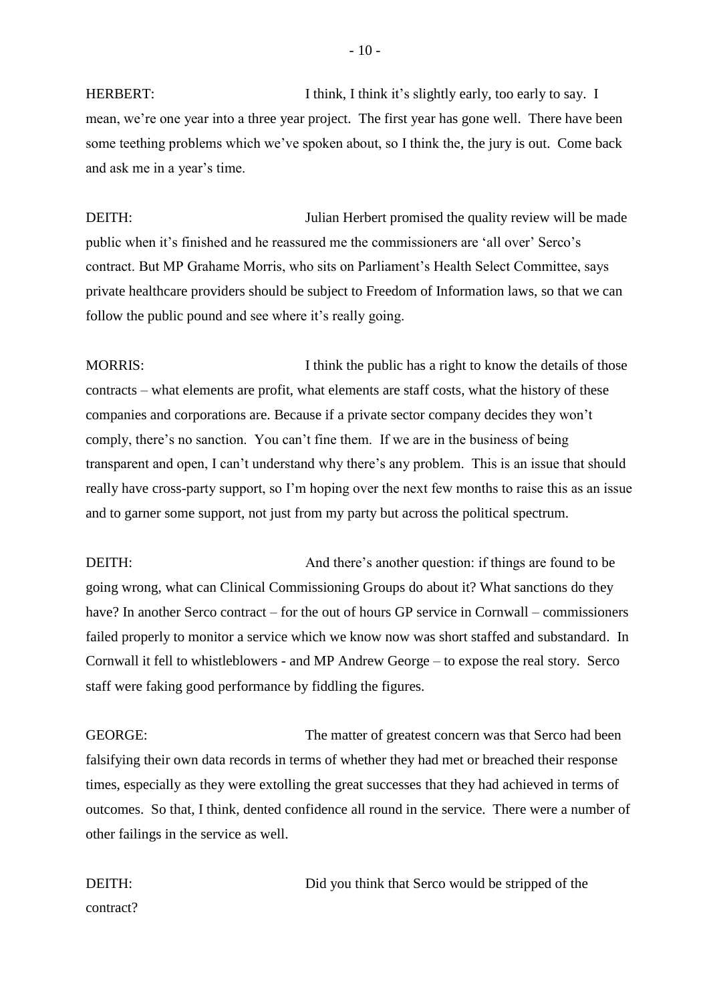HERBERT: I think, I think it's slightly early, too early to say. I mean, we're one year into a three year project. The first year has gone well. There have been some teething problems which we've spoken about, so I think the, the jury is out. Come back and ask me in a year's time.

DEITH: Julian Herbert promised the quality review will be made public when it's finished and he reassured me the commissioners are 'all over' Serco's contract. But MP Grahame Morris, who sits on Parliament's Health Select Committee, says private healthcare providers should be subject to Freedom of Information laws, so that we can follow the public pound and see where it's really going.

MORRIS: I think the public has a right to know the details of those contracts – what elements are profit, what elements are staff costs, what the history of these companies and corporations are. Because if a private sector company decides they won't comply, there's no sanction. You can't fine them. If we are in the business of being transparent and open, I can't understand why there's any problem. This is an issue that should really have cross-party support, so I'm hoping over the next few months to raise this as an issue and to garner some support, not just from my party but across the political spectrum.

DEITH: And there's another question: if things are found to be going wrong, what can Clinical Commissioning Groups do about it? What sanctions do they have? In another Serco contract – for the out of hours GP service in Cornwall – commissioners failed properly to monitor a service which we know now was short staffed and substandard. In Cornwall it fell to whistleblowers - and MP Andrew George – to expose the real story. Serco staff were faking good performance by fiddling the figures.

GEORGE: The matter of greatest concern was that Serco had been falsifying their own data records in terms of whether they had met or breached their response times, especially as they were extolling the great successes that they had achieved in terms of outcomes. So that, I think, dented confidence all round in the service. There were a number of other failings in the service as well.

DEITH: Did you think that Serco would be stripped of the

contract?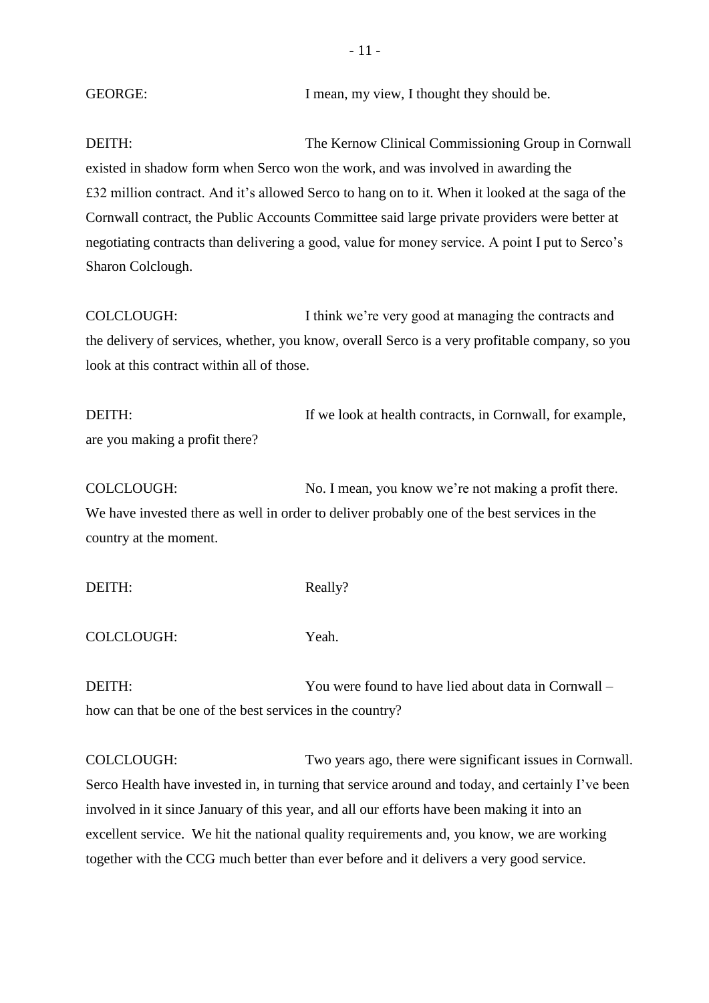| <b>GEORGE:</b> |  |  |  | I mean, my view, I thought they should be. |
|----------------|--|--|--|--------------------------------------------|
|----------------|--|--|--|--------------------------------------------|

DEITH: The Kernow Clinical Commissioning Group in Cornwall existed in shadow form when Serco won the work, and was involved in awarding the £32 million contract. And it's allowed Serco to hang on to it. When it looked at the saga of the Cornwall contract, the Public Accounts Committee said large private providers were better at negotiating contracts than delivering a good, value for money service. A point I put to Serco's Sharon Colclough.

COLCLOUGH: I think we're very good at managing the contracts and the delivery of services, whether, you know, overall Serco is a very profitable company, so you look at this contract within all of those.

DEITH: If we look at health contracts, in Cornwall, for example, are you making a profit there?

COLCLOUGH: No. I mean, you know we're not making a profit there. We have invested there as well in order to deliver probably one of the best services in the country at the moment.

DEITH: Really?

COLCLOUGH: Yeah.

DEITH: You were found to have lied about data in Cornwall – how can that be one of the best services in the country?

COLCLOUGH: Two years ago, there were significant issues in Cornwall. Serco Health have invested in, in turning that service around and today, and certainly I've been involved in it since January of this year, and all our efforts have been making it into an excellent service. We hit the national quality requirements and, you know, we are working together with the CCG much better than ever before and it delivers a very good service.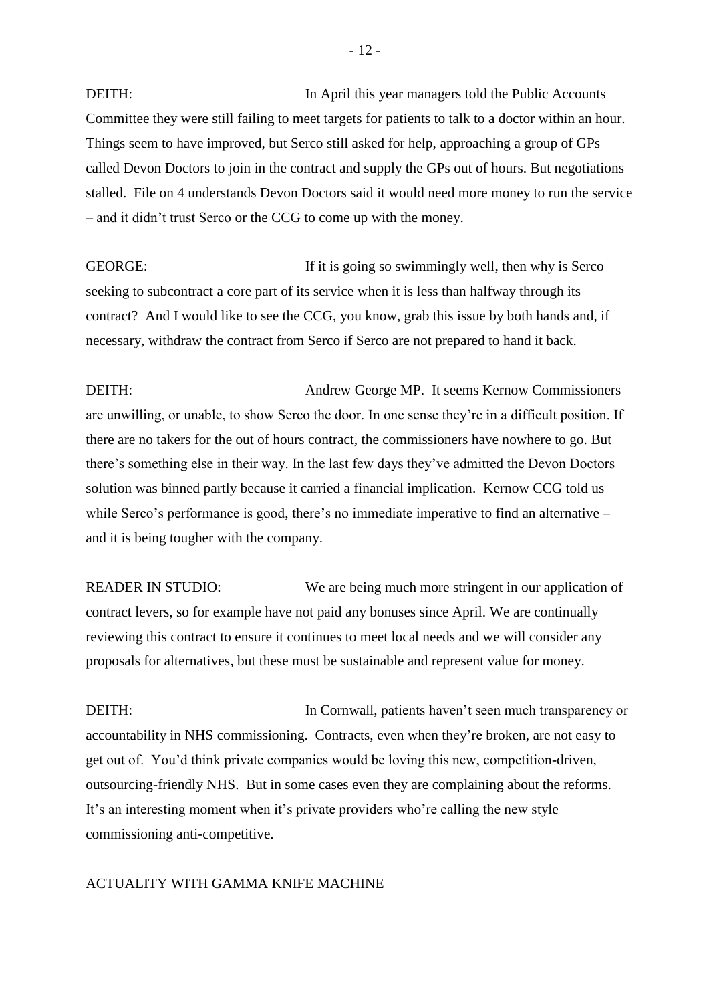DEITH: In April this year managers told the Public Accounts Committee they were still failing to meet targets for patients to talk to a doctor within an hour. Things seem to have improved, but Serco still asked for help, approaching a group of GPs called Devon Doctors to join in the contract and supply the GPs out of hours. But negotiations stalled. File on 4 understands Devon Doctors said it would need more money to run the service – and it didn't trust Serco or the CCG to come up with the money.

GEORGE: If it is going so swimmingly well, then why is Serco seeking to subcontract a core part of its service when it is less than halfway through its contract? And I would like to see the CCG, you know, grab this issue by both hands and, if necessary, withdraw the contract from Serco if Serco are not prepared to hand it back.

DEITH: Andrew George MP. It seems Kernow Commissioners are unwilling, or unable, to show Serco the door. In one sense they're in a difficult position. If there are no takers for the out of hours contract, the commissioners have nowhere to go. But there's something else in their way. In the last few days they've admitted the Devon Doctors solution was binned partly because it carried a financial implication. Kernow CCG told us while Serco's performance is good, there's no immediate imperative to find an alternative – and it is being tougher with the company.

READER IN STUDIO: We are being much more stringent in our application of contract levers, so for example have not paid any bonuses since April. We are continually reviewing this contract to ensure it continues to meet local needs and we will consider any proposals for alternatives, but these must be sustainable and represent value for money.

DEITH: In Cornwall, patients haven't seen much transparency or accountability in NHS commissioning. Contracts, even when they're broken, are not easy to get out of. You'd think private companies would be loving this new, competition-driven, outsourcing-friendly NHS. But in some cases even they are complaining about the reforms. It's an interesting moment when it's private providers who're calling the new style commissioning anti-competitive.

## ACTUALITY WITH GAMMA KNIFE MACHINE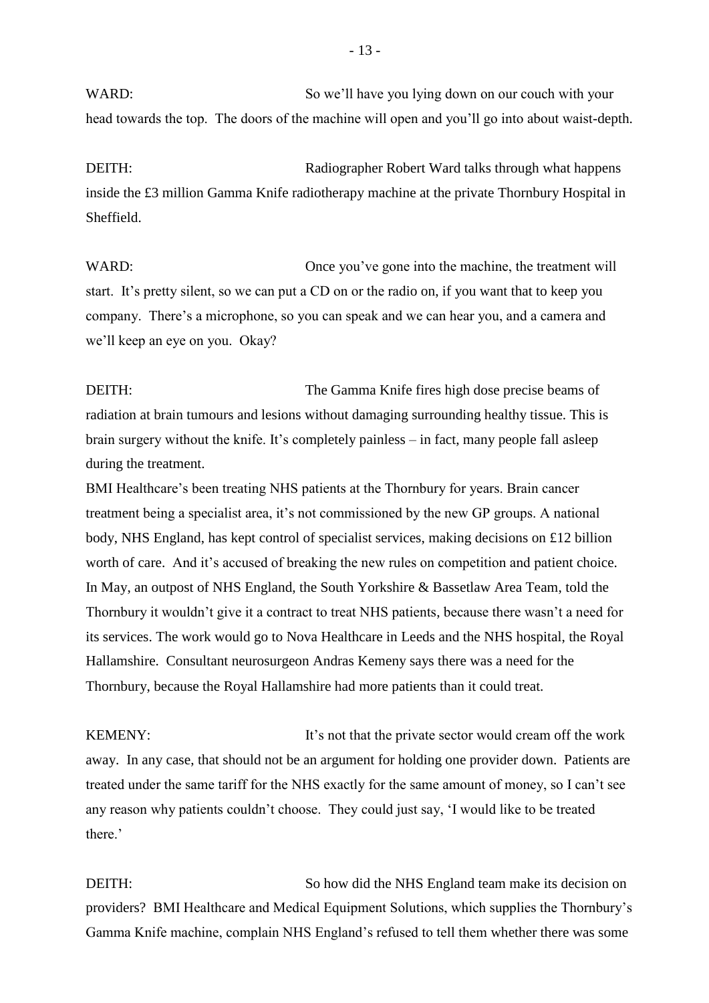WARD: So we'll have you lying down on our couch with your head towards the top. The doors of the machine will open and you'll go into about waist-depth.

DEITH: Radiographer Robert Ward talks through what happens inside the £3 million Gamma Knife radiotherapy machine at the private Thornbury Hospital in Sheffield.

WARD: Once you've gone into the machine, the treatment will start. It's pretty silent, so we can put a CD on or the radio on, if you want that to keep you company. There's a microphone, so you can speak and we can hear you, and a camera and we'll keep an eye on you. Okay?

DEITH: The Gamma Knife fires high dose precise beams of radiation at brain tumours and lesions without damaging surrounding healthy tissue. This is brain surgery without the knife. It's completely painless – in fact, many people fall asleep during the treatment.

BMI Healthcare's been treating NHS patients at the Thornbury for years. Brain cancer treatment being a specialist area, it's not commissioned by the new GP groups. A national body, NHS England, has kept control of specialist services, making decisions on £12 billion worth of care. And it's accused of breaking the new rules on competition and patient choice. In May, an outpost of NHS England, the South Yorkshire & Bassetlaw Area Team, told the Thornbury it wouldn't give it a contract to treat NHS patients, because there wasn't a need for its services. The work would go to Nova Healthcare in Leeds and the NHS hospital, the Royal Hallamshire. Consultant neurosurgeon Andras Kemeny says there was a need for the Thornbury, because the Royal Hallamshire had more patients than it could treat.

KEMENY: It's not that the private sector would cream off the work away. In any case, that should not be an argument for holding one provider down. Patients are treated under the same tariff for the NHS exactly for the same amount of money, so I can't see any reason why patients couldn't choose. They could just say, 'I would like to be treated there.'

DEITH: So how did the NHS England team make its decision on providers? BMI Healthcare and Medical Equipment Solutions, which supplies the Thornbury's Gamma Knife machine, complain NHS England's refused to tell them whether there was some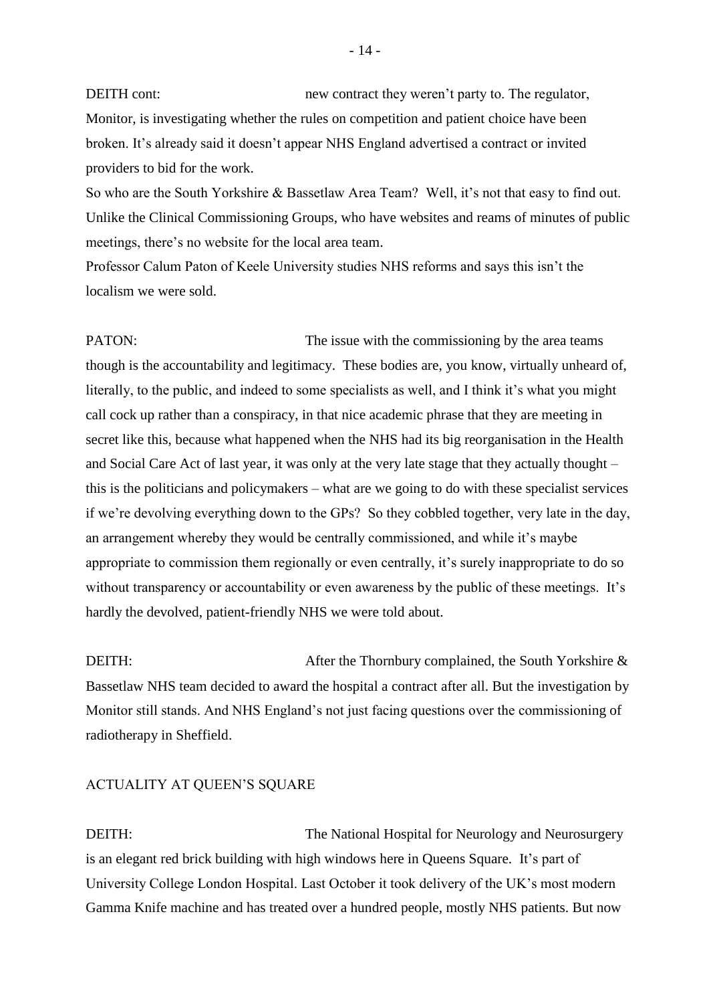DEITH cont: new contract they weren't party to. The regulator, Monitor, is investigating whether the rules on competition and patient choice have been broken. It's already said it doesn't appear NHS England advertised a contract or invited providers to bid for the work.

So who are the South Yorkshire & Bassetlaw Area Team? Well, it's not that easy to find out. Unlike the Clinical Commissioning Groups, who have websites and reams of minutes of public meetings, there's no website for the local area team.

Professor Calum Paton of Keele University studies NHS reforms and says this isn't the localism we were sold.

PATON: The issue with the commissioning by the area teams though is the accountability and legitimacy. These bodies are, you know, virtually unheard of, literally, to the public, and indeed to some specialists as well, and I think it's what you might call cock up rather than a conspiracy, in that nice academic phrase that they are meeting in secret like this, because what happened when the NHS had its big reorganisation in the Health and Social Care Act of last year, it was only at the very late stage that they actually thought – this is the politicians and policymakers – what are we going to do with these specialist services if we're devolving everything down to the GPs? So they cobbled together, very late in the day, an arrangement whereby they would be centrally commissioned, and while it's maybe appropriate to commission them regionally or even centrally, it's surely inappropriate to do so without transparency or accountability or even awareness by the public of these meetings. It's hardly the devolved, patient-friendly NHS we were told about.

DEITH: After the Thornbury complained, the South Yorkshire & Bassetlaw NHS team decided to award the hospital a contract after all. But the investigation by Monitor still stands. And NHS England's not just facing questions over the commissioning of radiotherapy in Sheffield.

#### ACTUALITY AT QUEEN'S SQUARE

DEITH: The National Hospital for Neurology and Neurosurgery is an elegant red brick building with high windows here in Queens Square. It's part of University College London Hospital. Last October it took delivery of the UK's most modern Gamma Knife machine and has treated over a hundred people, mostly NHS patients. But now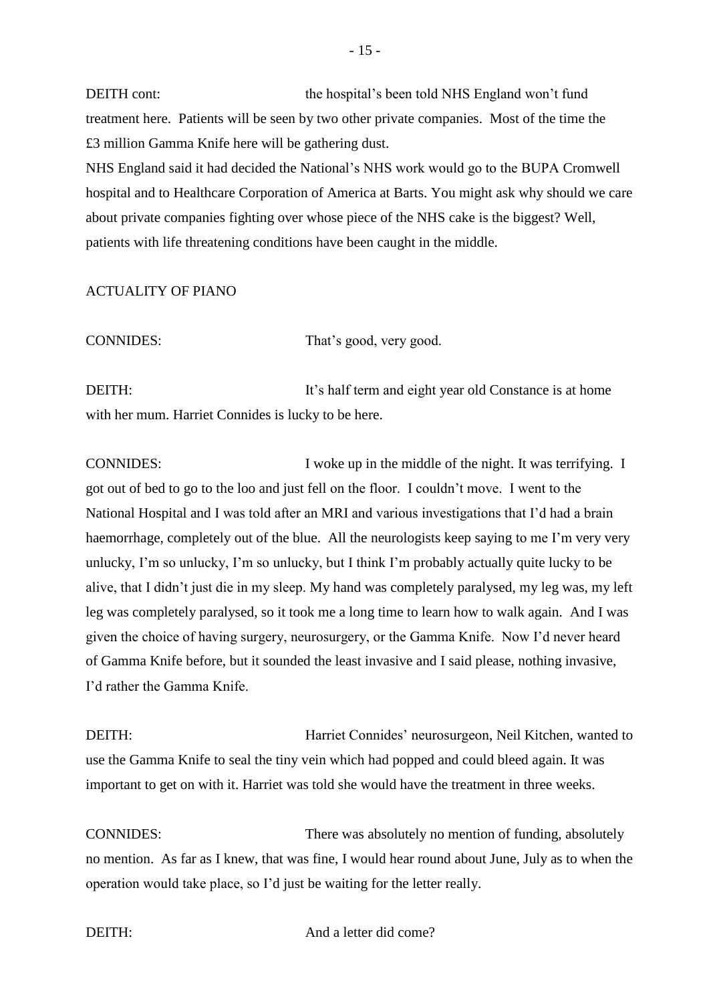DEITH cont: the hospital's been told NHS England won't fund treatment here. Patients will be seen by two other private companies. Most of the time the £3 million Gamma Knife here will be gathering dust.

NHS England said it had decided the National's NHS work would go to the BUPA Cromwell hospital and to Healthcare Corporation of America at Barts. You might ask why should we care about private companies fighting over whose piece of the NHS cake is the biggest? Well, patients with life threatening conditions have been caught in the middle.

## ACTUALITY OF PIANO

CONNIDES: That's good, very good.

DEITH: It's half term and eight year old Constance is at home with her mum. Harriet Connides is lucky to be here.

CONNIDES: I woke up in the middle of the night. It was terrifying. I got out of bed to go to the loo and just fell on the floor. I couldn't move. I went to the National Hospital and I was told after an MRI and various investigations that I'd had a brain haemorrhage, completely out of the blue. All the neurologists keep saying to me I'm very very unlucky, I'm so unlucky, I'm so unlucky, but I think I'm probably actually quite lucky to be alive, that I didn't just die in my sleep. My hand was completely paralysed, my leg was, my left leg was completely paralysed, so it took me a long time to learn how to walk again. And I was given the choice of having surgery, neurosurgery, or the Gamma Knife. Now I'd never heard of Gamma Knife before, but it sounded the least invasive and I said please, nothing invasive, I'd rather the Gamma Knife.

DEITH: Harriet Connides' neurosurgeon, Neil Kitchen, wanted to use the Gamma Knife to seal the tiny vein which had popped and could bleed again. It was important to get on with it. Harriet was told she would have the treatment in three weeks.

CONNIDES: There was absolutely no mention of funding, absolutely no mention. As far as I knew, that was fine, I would hear round about June, July as to when the operation would take place, so I'd just be waiting for the letter really.

DEITH: And a letter did come?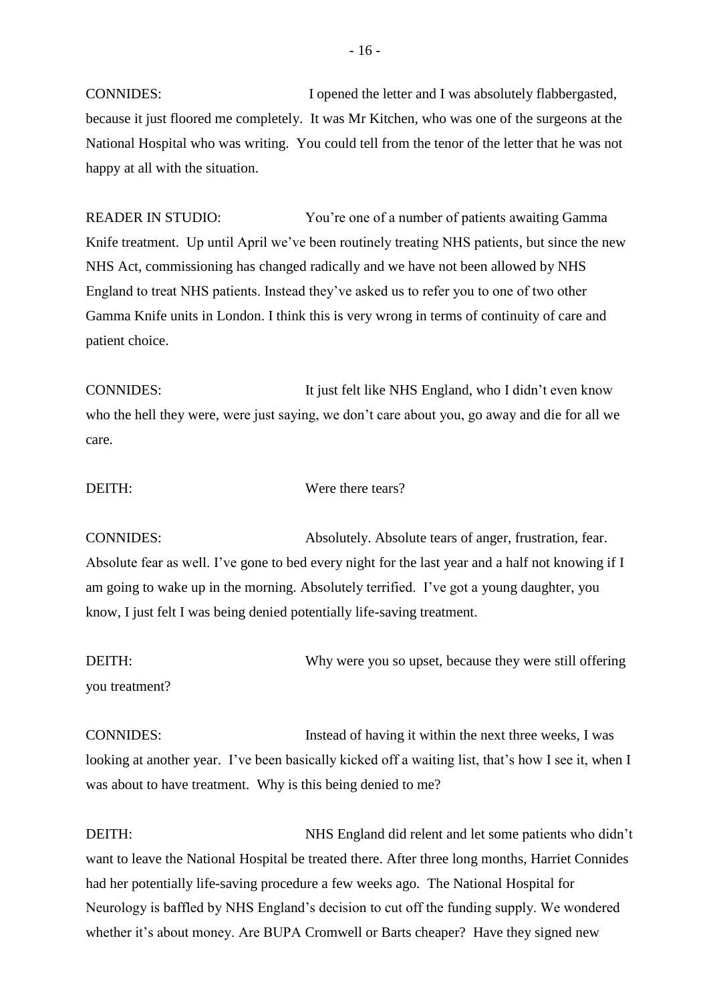CONNIDES: I opened the letter and I was absolutely flabbergasted, because it just floored me completely. It was Mr Kitchen, who was one of the surgeons at the National Hospital who was writing. You could tell from the tenor of the letter that he was not happy at all with the situation.

READER IN STUDIO: You're one of a number of patients awaiting Gamma Knife treatment. Up until April we've been routinely treating NHS patients, but since the new NHS Act, commissioning has changed radically and we have not been allowed by NHS England to treat NHS patients. Instead they've asked us to refer you to one of two other Gamma Knife units in London. I think this is very wrong in terms of continuity of care and patient choice.

CONNIDES: It just felt like NHS England, who I didn't even know who the hell they were, were just saying, we don't care about you, go away and die for all we care.

## DEITH: Were there tears?

CONNIDES: Absolutely. Absolute tears of anger, frustration, fear. Absolute fear as well. I've gone to bed every night for the last year and a half not knowing if I am going to wake up in the morning. Absolutely terrified. I've got a young daughter, you know, I just felt I was being denied potentially life-saving treatment.

DEITH: Why were you so upset, because they were still offering you treatment?

CONNIDES: Instead of having it within the next three weeks, I was looking at another year. I've been basically kicked off a waiting list, that's how I see it, when I was about to have treatment. Why is this being denied to me?

DEITH: NHS England did relent and let some patients who didn't want to leave the National Hospital be treated there. After three long months, Harriet Connides had her potentially life-saving procedure a few weeks ago. The National Hospital for Neurology is baffled by NHS England's decision to cut off the funding supply. We wondered whether it's about money. Are BUPA Cromwell or Barts cheaper? Have they signed new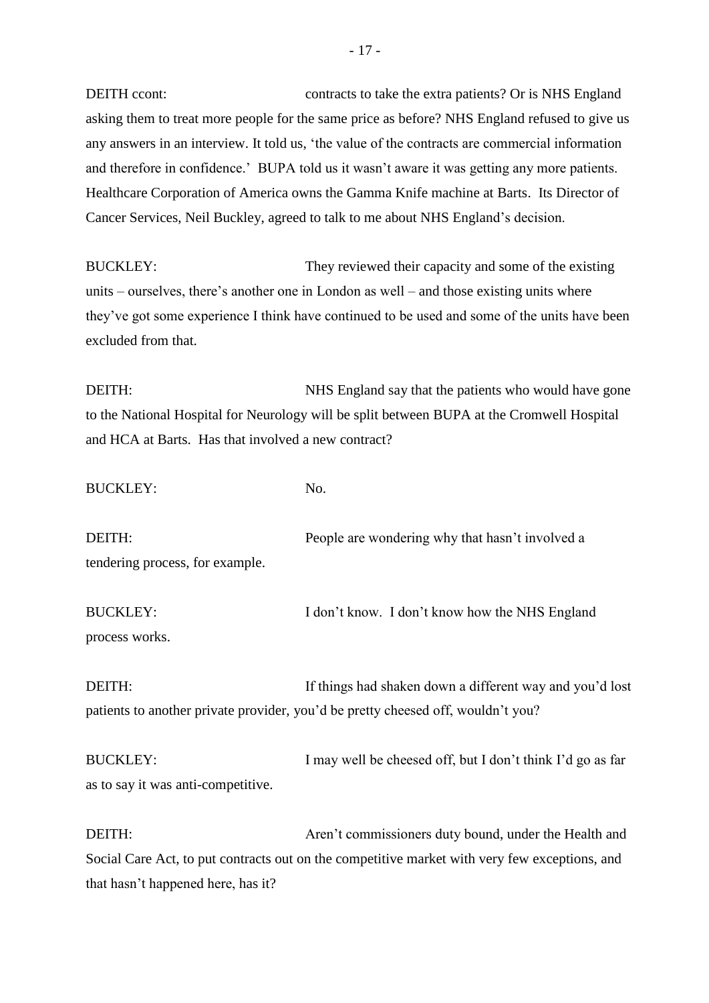DEITH ccont: contracts to take the extra patients? Or is NHS England asking them to treat more people for the same price as before? NHS England refused to give us any answers in an interview. It told us, 'the value of the contracts are commercial information and therefore in confidence.' BUPA told us it wasn't aware it was getting any more patients. Healthcare Corporation of America owns the Gamma Knife machine at Barts. Its Director of Cancer Services, Neil Buckley, agreed to talk to me about NHS England's decision.

BUCKLEY: They reviewed their capacity and some of the existing units – ourselves, there's another one in London as well – and those existing units where they've got some experience I think have continued to be used and some of the units have been excluded from that.

DEITH: NHS England say that the patients who would have gone to the National Hospital for Neurology will be split between BUPA at the Cromwell Hospital and HCA at Barts. Has that involved a new contract?

BUCKLEY: No.

DEITH: People are wondering why that hasn't involved a tendering process, for example.

BUCKLEY: I don't know. I don't know how the NHS England process works.

DEITH: If things had shaken down a different way and you'd lost patients to another private provider, you'd be pretty cheesed off, wouldn't you?

BUCKLEY: I may well be cheesed off, but I don't think I'd go as far as to say it was anti-competitive.

DEITH: Aren't commissioners duty bound, under the Health and Social Care Act, to put contracts out on the competitive market with very few exceptions, and that hasn't happened here, has it?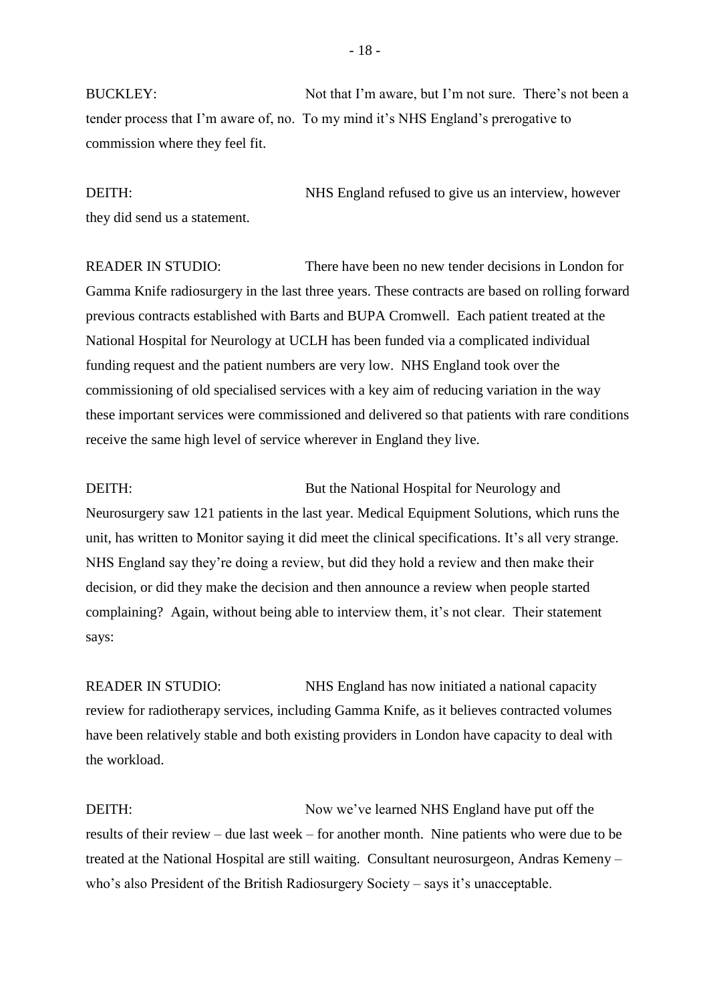BUCKLEY: Not that I'm aware, but I'm not sure. There's not been a tender process that I'm aware of, no. To my mind it's NHS England's prerogative to commission where they feel fit.

DEITH: NHS England refused to give us an interview, however they did send us a statement.

READER IN STUDIO: There have been no new tender decisions in London for Gamma Knife radiosurgery in the last three years. These contracts are based on rolling forward previous contracts established with Barts and BUPA Cromwell. Each patient treated at the National Hospital for Neurology at UCLH has been funded via a complicated individual funding request and the patient numbers are very low. NHS England took over the commissioning of old specialised services with a key aim of reducing variation in the way these important services were commissioned and delivered so that patients with rare conditions receive the same high level of service wherever in England they live.

DEITH: But the National Hospital for Neurology and Neurosurgery saw 121 patients in the last year. Medical Equipment Solutions, which runs the unit, has written to Monitor saying it did meet the clinical specifications. It's all very strange. NHS England say they're doing a review, but did they hold a review and then make their decision, or did they make the decision and then announce a review when people started complaining? Again, without being able to interview them, it's not clear. Their statement says:

READER IN STUDIO: NHS England has now initiated a national capacity review for radiotherapy services, including Gamma Knife, as it believes contracted volumes have been relatively stable and both existing providers in London have capacity to deal with the workload.

DEITH: Now we've learned NHS England have put off the results of their review – due last week – for another month. Nine patients who were due to be treated at the National Hospital are still waiting. Consultant neurosurgeon, Andras Kemeny – who's also President of the British Radiosurgery Society – says it's unacceptable.